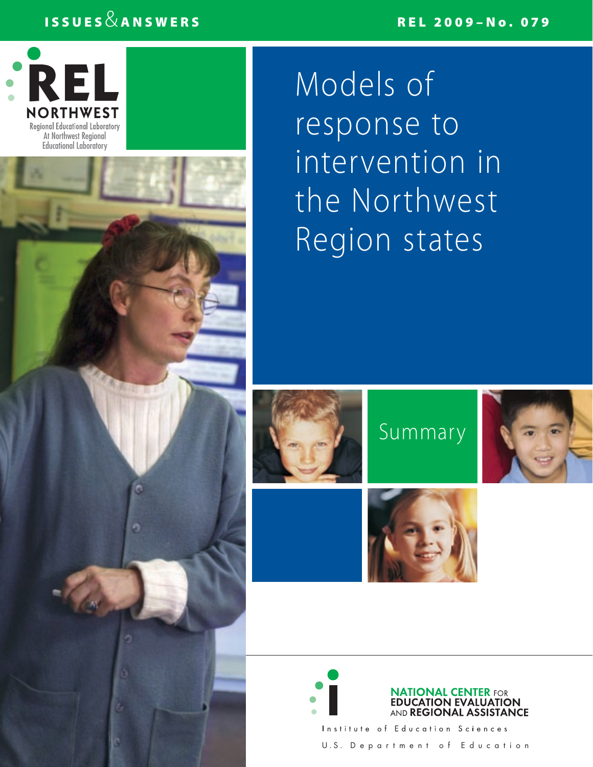# $\texttt{ISSUES} \& \texttt{ANSWERS}$



Models of response to intervention in the Northwest Region states







Institute of Education Sciences U . S . D e p a r t m e n t o f E d u c a t i o n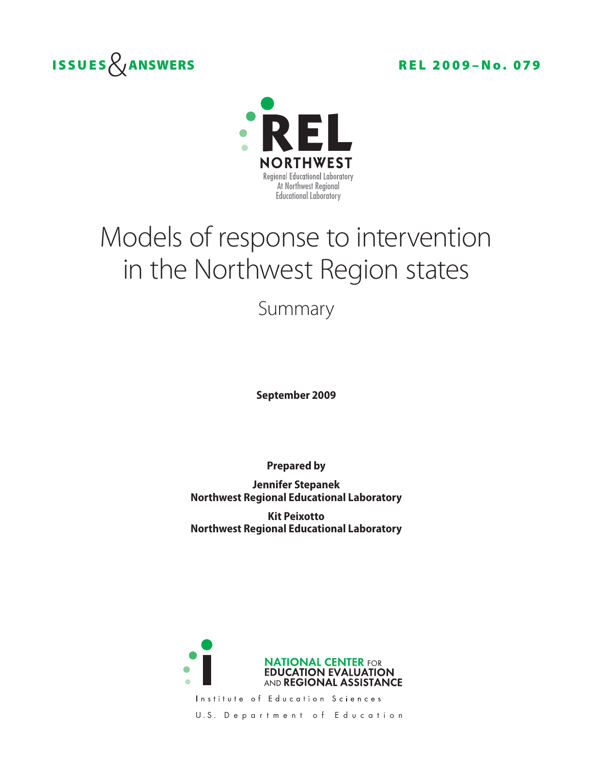



# Models of response to intervention in the Northwest Region states

Summary

**September 2009** 

**Prepared by** 

**Jennifer Stepanek Northwest Regional Educational Laboratory** 

**Kit Peixotto Northwest Regional Educational Laboratory** 



Institute of Education Sciences

U.S. Department of Education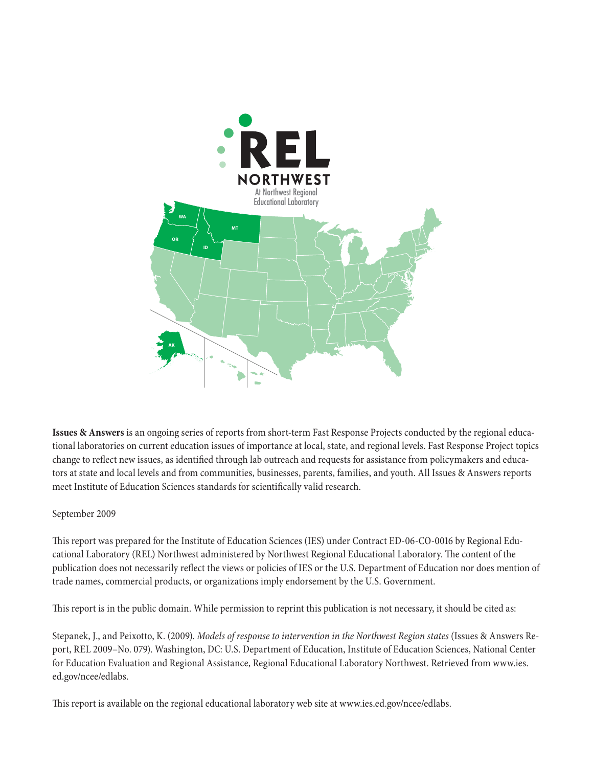

**Issues & Answers** is an ongoing series of reports from short-term Fast Response Projects conducted by the regional educational laboratories on current education issues of importance at local, state, and regional levels. Fast Response Project topics change to reflect new issues, as identified through lab outreach and requests for assistance from policymakers and educators at state and local levels and from communities, businesses, parents, families, and youth. All Issues & Answers reports meet Institute of Education Sciences standards for scientifically valid research.

#### September 2009

This report was prepared for the Institute of Education Sciences (IES) under Contract ED-06-CO-0016 by Regional Educational Laboratory (REL) Northwest administered by Northwest Regional Educational Laboratory. The content of the publication does not necessarily reflect the views or policies of IES or the U.S. Department of Education nor does mention of trade names, commercial products, or organizations imply endorsement by the U.S. Government.

This report is in the public domain. While permission to reprint this publication is not necessary, it should be cited as:

Stepanek, J., and Peixotto, K. (2009). *Models of response to intervention in the Northwest Region states* (Issues & Answers Report, REL 2009–No. 079). Washington, DC: U.S. Department of Education, Institute of Education Sciences, National Center for Education Evaluation and Regional Assistance, Regional Educational Laboratory Northwest. Retrieved from www.ies. ed.gov/ncee/edlabs.

This report is available on the regional educational laboratory web site at www.ies.ed.gov/ncee/edlabs.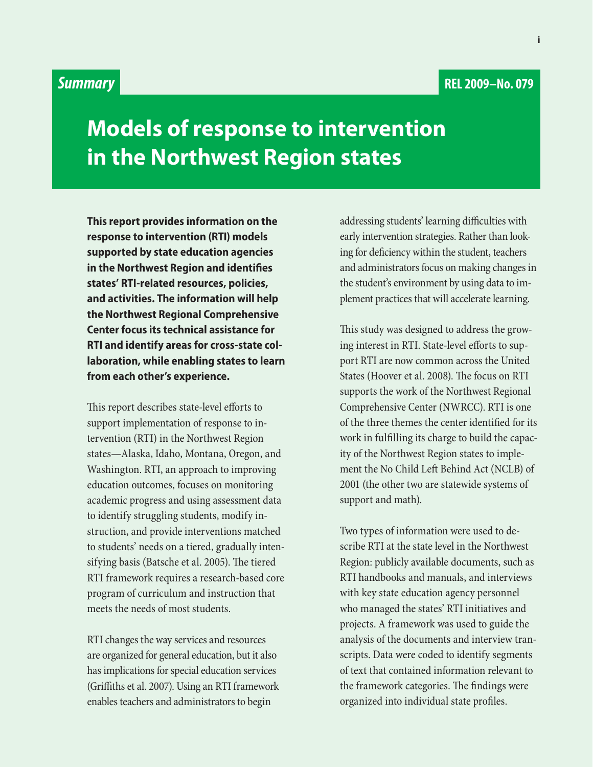## *Summary*

**Models of response to intervention in the Northwest Region states** 

**This report provides information on the response to intervention (RTI) models supported by state education agencies in the Northwest Region and identifies states' RTI-related resources, policies, and activities. The information will help the Northwest Regional Comprehensive Center focus its technical assistance for RTI and identify areas for cross-state collaboration, while enabling states to learn from each other's experience.** 

This report describes state-level efforts to support implementation of response to intervention (RTI) in the Northwest Region states—Alaska, Idaho, Montana, Oregon, and Washington. RTI, an approach to improving education outcomes, focuses on monitoring academic progress and using assessment data to identify struggling students, modify instruction, and provide interventions matched to students' needs on a tiered, gradually intensifying basis (Batsche et al. 2005). The tiered RTI framework requires a research-based core program of curriculum and instruction that meets the needs of most students.

 RTI changes the way services and resources are organized for general education, but it also enables teachers and administrators to begin has implications for special education services (Griffiths et al. 2007). Using an RTI framework  ing for deficiency within the student, teachers addressing students' learning difficulties with early intervention strategies. Rather than lookand administrators focus on making changes in the student's environment by using data to implement practices that will accelerate learning.

This study was designed to address the growing interest in RTI. State-level efforts to support RTI are now common across the United States (Hoover et al. 2008). The focus on RTI supports the work of the Northwest Regional Comprehensive Center (NWRCC). RTI is one of the three themes the center identified for its work in fulfilling its charge to build the capacity of the Northwest Region states to implement the No Child Left Behind Act (NCLB) of 2001 (the other two are statewide systems of support and math).

Two types of information were used to describe RTI at the state level in the Northwest Region: publicly available documents, such as RTI handbooks and manuals, and interviews with key state education agency personnel who managed the states' RTI initiatives and projects. A framework was used to guide the analysis of the documents and interview transcripts. Data were coded to identify segments of text that contained information relevant to the framework categories. The findings were organized into individual state profiles.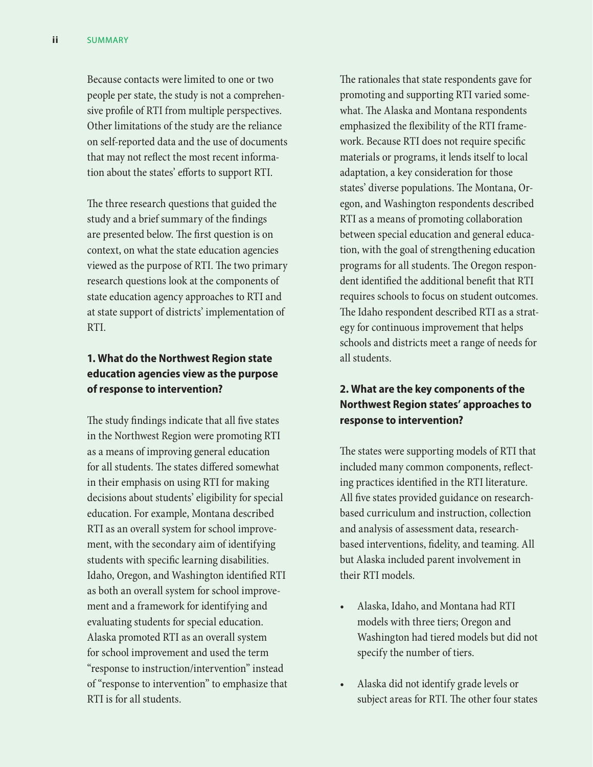Because contacts were limited to one or two people per state, the study is not a comprehensive profile of RTI from multiple perspectives. Other limitations of the study are the reliance on self-reported data and the use of documents that may not reflect the most recent information about the states' efforts to support RTI.

The three research questions that guided the study and a brief summary of the findings are presented below. The first question is on context, on what the state education agencies viewed as the purpose of RTI. The two primary research questions look at the components of state education agency approaches to RTI and at state support of districts' implementation of RTI.

#### **1. What do the Northwest Region state education agencies view as the purpose of response to intervention?**

The study findings indicate that all five states in the Northwest Region were promoting RTI as a means of improving general education for all students. The states differed somewhat in their emphasis on using RTI for making decisions about students' eligibility for special education. For example, Montana described RTI as an overall system for school improvement, with the secondary aim of identifying students with specific learning disabilities. Idaho, Oregon, and Washington identified RTI as both an overall system for school improvement and a framework for identifying and evaluating students for special education. Alaska promoted RTI as an overall system for school improvement and used the term "response to instruction/intervention" instead of "response to intervention" to emphasize that RTI is for all students.

The rationales that state respondents gave for promoting and supporting RTI varied somewhat. The Alaska and Montana respondents emphasized the flexibility of the RTI framework. Because RTI does not require specific materials or programs, it lends itself to local adaptation, a key consideration for those states' diverse populations. The Montana, Oregon, and Washington respondents described RTI as a means of promoting collaboration between special education and general education, with the goal of strengthening education programs for all students. The Oregon respondent identified the additional benefit that RTI requires schools to focus on student outcomes. The Idaho respondent described RTI as a strategy for continuous improvement that helps schools and districts meet a range of needs for all students.

#### **2. What are the key components of the Northwest Region states' approaches to response to intervention?**

The states were supporting models of RTI that included many common components, reflecting practices identified in the RTI literature. All five states provided guidance on researchbased curriculum and instruction, collection and analysis of assessment data, researchbased interventions, fidelity, and teaming. All but Alaska included parent involvement in their RTI models.

- Alaska, Idaho, and Montana had RTI models with three tiers; Oregon and Washington had tiered models but did not specify the number of tiers.
- Alaska did not identify grade levels or subject areas for RTI. The other four states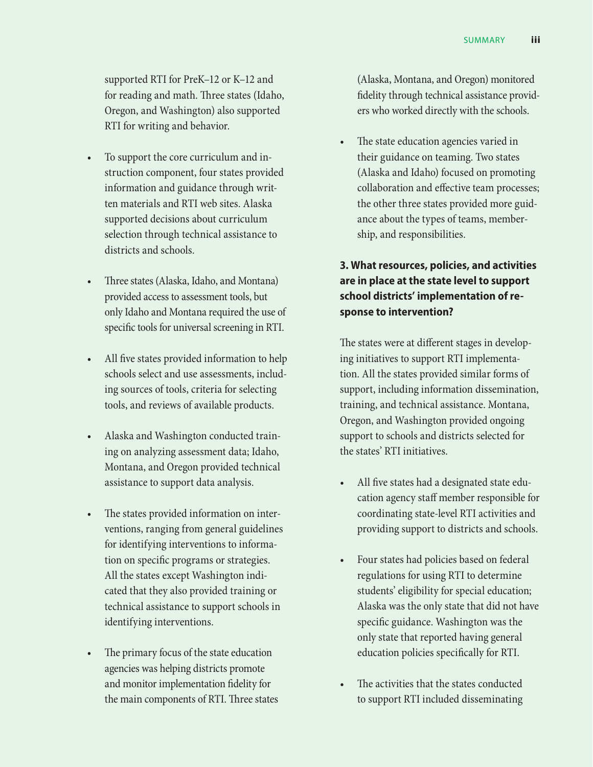supported RTI for PreK–12 or K–12 and for reading and math. Three states (Idaho, Oregon, and Washington) also supported RTI for writing and behavior.

- To support the core curriculum and instruction component, four states provided information and guidance through written materials and RTI web sites. Alaska supported decisions about curriculum selection through technical assistance to districts and schools.
- • Three states (Alaska, Idaho, and Montana) provided access to assessment tools, but only Idaho and Montana required the use of specific tools for universal screening in RTI.
- All five states provided information to help schools select and use assessments, including sources of tools, criteria for selecting tools, and reviews of available products.
- Alaska and Washington conducted training on analyzing assessment data; Idaho, Montana, and Oregon provided technical assistance to support data analysis.
- The states provided information on interventions, ranging from general guidelines for identifying interventions to information on specific programs or strategies. All the states except Washington indicated that they also provided training or technical assistance to support schools in identifying interventions.
- The primary focus of the state education agencies was helping districts promote and monitor implementation fidelity for the main components of RTI. Three states

 (Alaska, Montana, and Oregon) monitored fidelity through technical assistance providers who worked directly with the schools.

The state education agencies varied in their guidance on teaming. Two states (Alaska and Idaho) focused on promoting collaboration and effective team processes; the other three states provided more guidance about the types of teams, membership, and responsibilities.

### **3. What resources, policies, and activities are in place at the state level to support school districts' implementation of response to intervention?**

The states were at different stages in developing initiatives to support RTI implementation. All the states provided similar forms of support, including information dissemination, training, and technical assistance. Montana, Oregon, and Washington provided ongoing support to schools and districts selected for the states' RTI initiatives.

- All five states had a designated state education agency staff member responsible for coordinating state-level RTI activities and providing support to districts and schools.
- Four states had policies based on federal regulations for using RTI to determine students' eligibility for special education; Alaska was the only state that did not have specific guidance. Washington was the only state that reported having general education policies specifically for RTI.
- The activities that the states conducted to support RTI included disseminating